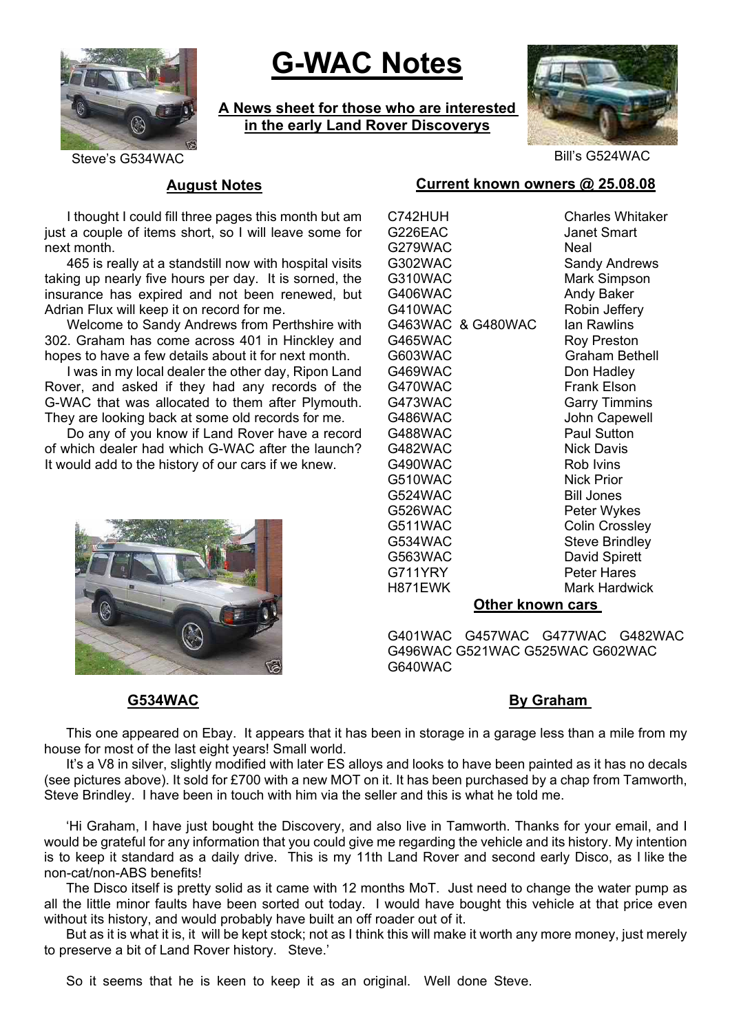

# **G-WAC Notes**

**A News sheet for those who are interested in the early Land Rover Discoverys**



Steve's G534WAC Bill's G524WAC

### **August Notes**

I thought I could fill three pages this month but am just a couple of items short, so I will leave some for next month.

465 is really at a standstill now with hospital visits taking up nearly five hours per day. It is sorned, the insurance has expired and not been renewed, but Adrian Flux will keep it on record for me.

Welcome to Sandy Andrews from Perthshire with 302. Graham has come across 401 in Hinckley and hopes to have a few details about it for next month.

I was in my local dealer the other day, Ripon Land Rover, and asked if they had any records of the G-WAC that was allocated to them after Plymouth. They are looking back at some old records for me.

Do any of you know if Land Rover have a record of which dealer had which G-WAC after the launch? It would add to the history of our cars if we knew.



#### G226EAC Janet Smart G279WAC Neal G302WAC Sandy Andrews G310WAC Mark Simpson G406WAC Andy Baker G410WAC Robin Jeffery G463WAC & G480WAC Ian Rawlins G465WAC Roy Preston G603WAC Graham Bethell G469WAC Don Hadley G470WAC Frank Elson G473WAC Garry Timmins G486WAC John Capewell G488WAC Paul Sutton G482WAC Nick Davis G490WAC Rob Ivins G510WAC Nick Prior G524WAC Bill Jones G526WAC Peter Wykes G511WAC Colin Crossley G534WAC Steve Brindley G563WAC David Spirett G711YRY Peter Hares H871EWK Mark Hardwick

C742HUH Charles Whitaker

#### **Other known cars**

G401WAC G457WAC G477WAC G482WAC G496WAC G521WAC G525WAC G602WAC G640WAC

#### **G534WAC By Graham**  By Graham **By Graham**

This one appeared on Ebay. It appears that it has been in storage in a garage less than a mile from my house for most of the last eight years! Small world.

It's a V8 in silver, slightly modified with later ES alloys and looks to have been painted as it has no decals (see pictures above). It sold for £700 with a new MOT on it. It has been purchased by a chap from Tamworth, Steve Brindley. I have been in touch with him via the seller and this is what he told me.

'Hi Graham, I have just bought the Discovery, and also live in Tamworth. Thanks for your email, and I would be grateful for any information that you could give me regarding the vehicle and its history. My intention is to keep it standard as a daily drive. This is my 11th Land Rover and second early Disco, as I like the non-cat/non-ABS benefits!

The Disco itself is pretty solid as it came with 12 months MoT. Just need to change the water pump as all the little minor faults have been sorted out today. I would have bought this vehicle at that price even without its history, and would probably have built an off roader out of it.

But as it is what it is, it will be kept stock; not as I think this will make it worth any more money, just merely to preserve a bit of Land Rover history. Steve.'

So it seems that he is keen to keep it as an original. Well done Steve.

### **Current known owners @ 25.08.08**